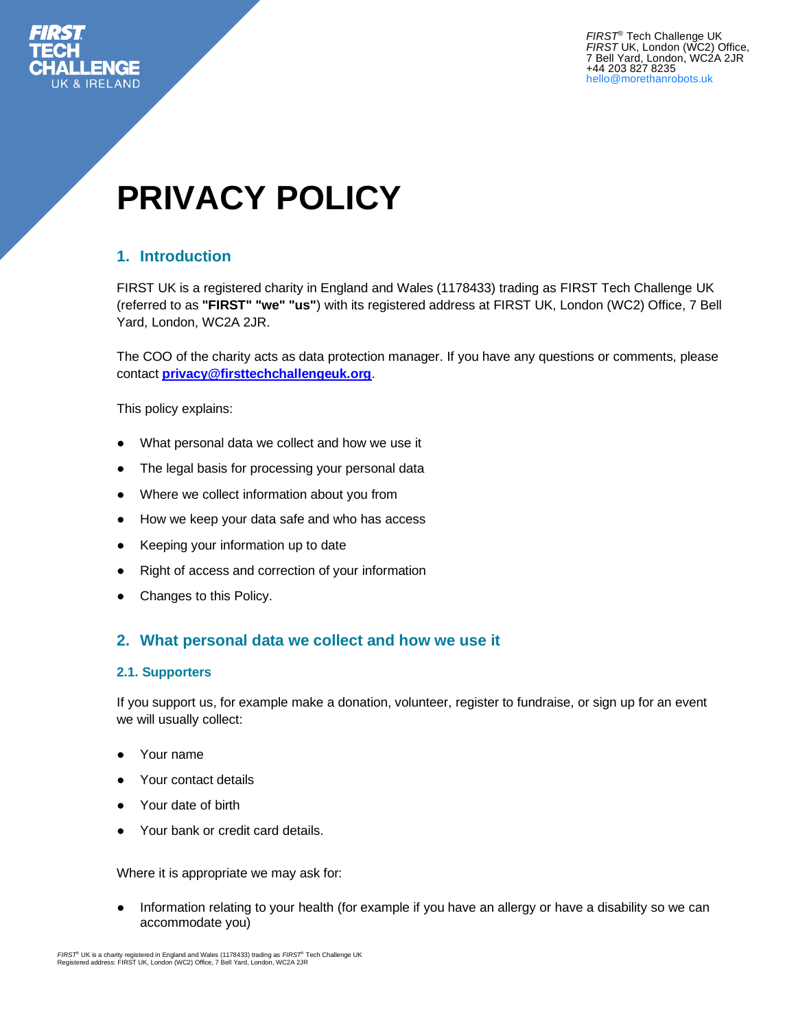

*FIRST*® Tech Challenge UK *FIRST* UK, London (WC2) Office, 7 Bell Yard, London, WC2A 2JR +44 203 827 8235 hello@morethanrobots.uk

# **PRIVACY POLICY**

## **1. Introduction**

FIRST UK is a registered charity in England and Wales (1178433) trading as FIRST Tech Challenge UK (referred to as **"FIRST" "we" "us"**) with its registered address at FIRST UK, London (WC2) Office, 7 Bell Yard, London, WC2A 2JR.

The COO of the charity acts as data protection manager. If you have any questions or comments, please contact **[privacy@firsttechchallengeuk.org](mailto:privacy@firsttechchallengeuk.org)**.

This policy explains:

- What personal data we collect and how we use it
- The legal basis for processing your personal data
- Where we collect information about you from
- How we keep your data safe and who has access
- Keeping your information up to date
- Right of access and correction of your information
- Changes to this Policy.

#### **2. What personal data we collect and how we use it**

#### **2.1. Supporters**

If you support us, for example make a donation, volunteer, register to fundraise, or sign up for an event we will usually collect:

- Your name
- Your contact details
- Your date of birth
- Your bank or credit card details.

Where it is appropriate we may ask for:

Information relating to your health (for example if you have an allergy or have a disability so we can accommodate you)

*FIRST*® UK is a charity registered in England and Wales (1178433) trading as *FIRST*® Tech Challenge UK Registered address: FIRST UK, London (WC2) Office, 7 Bell Yard, London, WC2A 2JR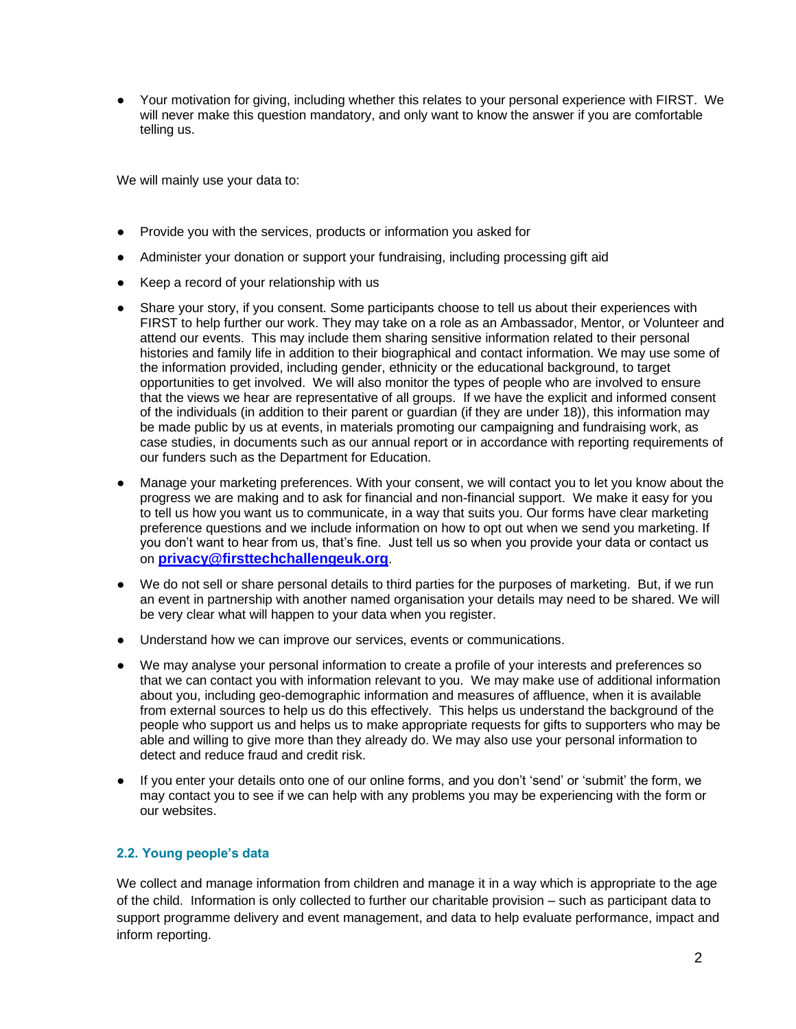● Your motivation for giving, including whether this relates to your personal experience with FIRST. We will never make this question mandatory, and only want to know the answer if you are comfortable telling us.

We will mainly use your data to:

- Provide you with the services, products or information you asked for
- Administer your donation or support your fundraising, including processing gift aid
- Keep a record of your relationship with us
- Share your story, if you consent. Some participants choose to tell us about their experiences with FIRST to help further our work. They may take on a role as an Ambassador, Mentor, or Volunteer and attend our events. This may include them sharing sensitive information related to their personal histories and family life in addition to their biographical and contact information. We may use some of the information provided, including gender, ethnicity or the educational background, to target opportunities to get involved. We will also monitor the types of people who are involved to ensure that the views we hear are representative of all groups. If we have the explicit and informed consent of the individuals (in addition to their parent or guardian (if they are under 18)), this information may be made public by us at events, in materials promoting our campaigning and fundraising work, as case studies, in documents such as our annual report or in accordance with reporting requirements of our funders such as the Department for Education.
- Manage your marketing preferences. With your consent, we will contact you to let you know about the progress we are making and to ask for financial and non-financial support. We make it easy for you to tell us how you want us to communicate, in a way that suits you. Our forms have clear marketing preference questions and we include information on how to opt out when we send you marketing. If you don't want to hear from us, that's fine. Just tell us so when you provide your data or contact us on **[privacy@firsttechchallengeuk.org](http://privacy@firsttechchallengeuk.org)**.
- We do not sell or share personal details to third parties for the purposes of marketing. But, if we run an event in partnership with another named organisation your details may need to be shared. We will be very clear what will happen to your data when you register.
- Understand how we can improve our services, events or communications.
- We may analyse your personal information to create a profile of your interests and preferences so that we can contact you with information relevant to you. We may make use of additional information about you, including geo-demographic information and measures of affluence, when it is available from external sources to help us do this effectively. This helps us understand the background of the people who support us and helps us to make appropriate requests for gifts to supporters who may be able and willing to give more than they already do. We may also use your personal information to detect and reduce fraud and credit risk.
- If you enter your details onto one of our online forms, and you don't 'send' or 'submit' the form, we may contact you to see if we can help with any problems you may be experiencing with the form or our websites.

#### **2.2. Young people's data**

We collect and manage information from children and manage it in a way which is appropriate to the age of the child. Information is only collected to further our charitable provision – such as participant data to support programme delivery and event management, and data to help evaluate performance, impact and inform reporting.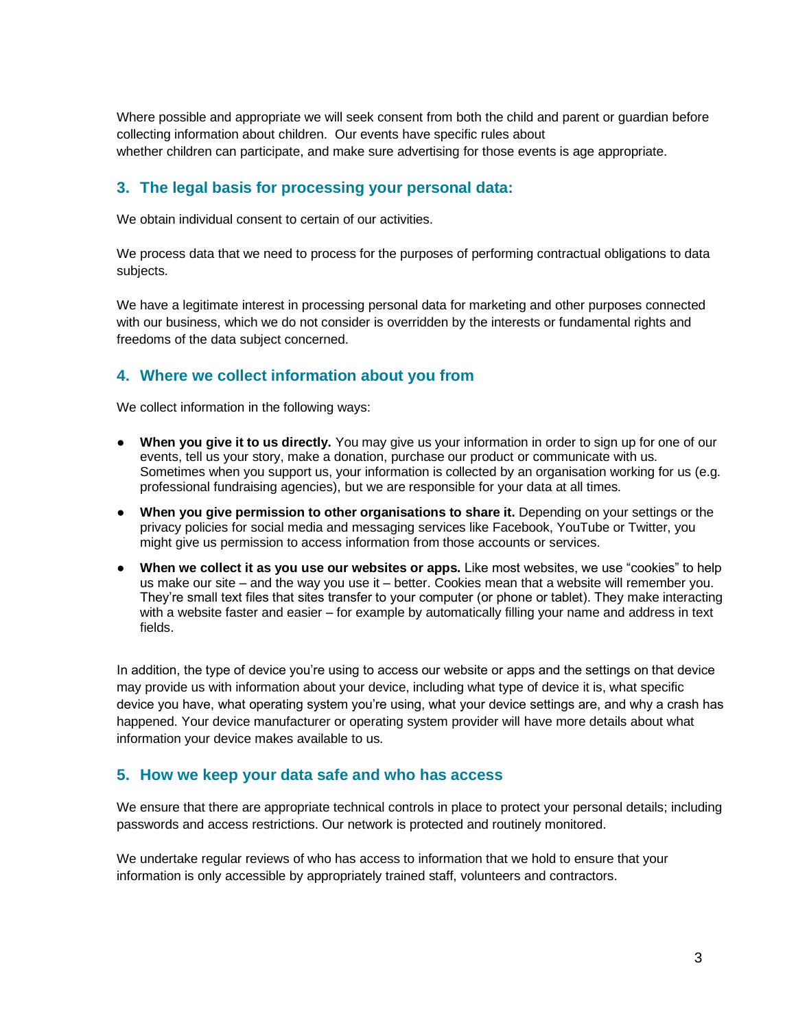Where possible and appropriate we will seek consent from both the child and parent or guardian before collecting information about children. Our events have specific rules about whether children can participate, and make sure advertising for those events is age appropriate.

#### **3. The legal basis for processing your personal data:**

We obtain individual consent to certain of our activities.

We process data that we need to process for the purposes of performing contractual obligations to data subjects.

We have a legitimate interest in processing personal data for marketing and other purposes connected with our business, which we do not consider is overridden by the interests or fundamental rights and freedoms of the data subject concerned.

#### **4. Where we collect information about you from**

We collect information in the following ways:

- **When you give it to us directly.** You may give us your information in order to sign up for one of our events, tell us your story, make a donation, purchase our product or communicate with us. Sometimes when you support us, your information is collected by an organisation working for us (e.g. professional fundraising agencies), but we are responsible for your data at all times.
- **When you give permission to other organisations to share it.** Depending on your settings or the privacy policies for social media and messaging services like Facebook, YouTube or Twitter, you might give us permission to access information from those accounts or services.
- **When we collect it as you use our websites or apps.** Like most websites, we use "cookies" to help us make our site – and the way you use it – better. Cookies mean that a website will remember you. They're small text files that sites transfer to your computer (or phone or tablet). They make interacting with a website faster and easier – for example by automatically filling your name and address in text fields.

In addition, the type of device you're using to access our website or apps and the settings on that device may provide us with information about your device, including what type of device it is, what specific device you have, what operating system you're using, what your device settings are, and why a crash has happened. Your device manufacturer or operating system provider will have more details about what information your device makes available to us.

#### **5. How we keep your data safe and who has access**

We ensure that there are appropriate technical controls in place to protect your personal details; including passwords and access restrictions. Our network is protected and routinely monitored.

We undertake regular reviews of who has access to information that we hold to ensure that your information is only accessible by appropriately trained staff, volunteers and contractors.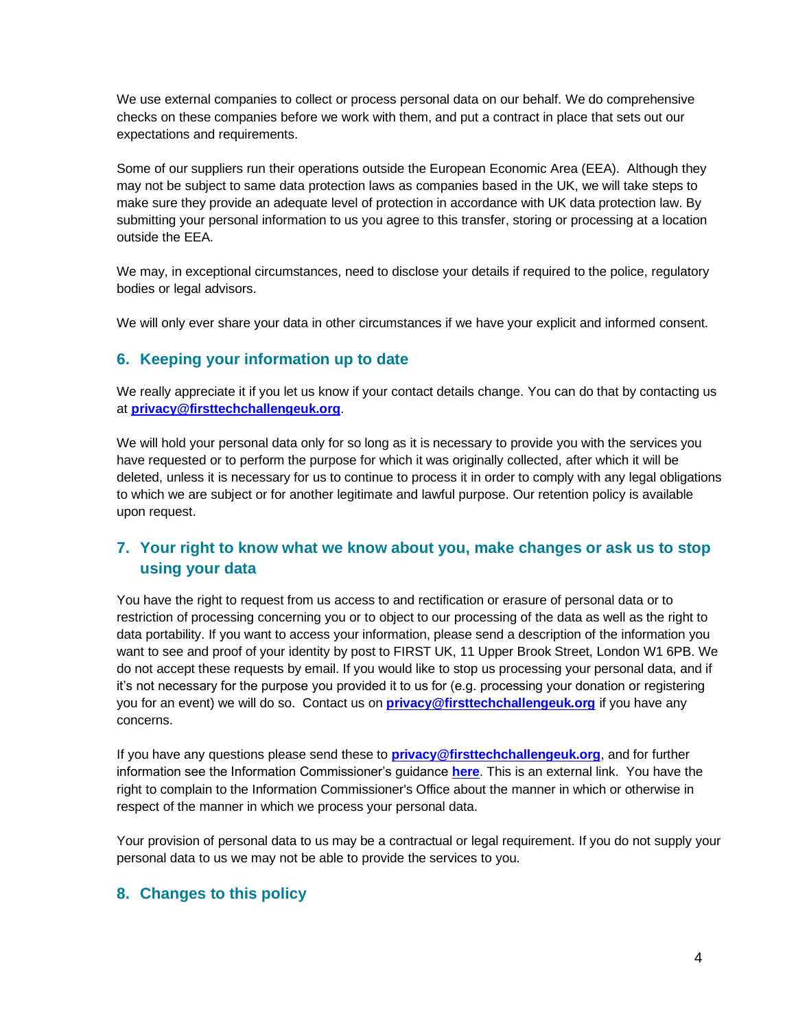We use external companies to collect or process personal data on our behalf. We do comprehensive checks on these companies before we work with them, and put a contract in place that sets out our expectations and requirements.

Some of our suppliers run their operations outside the European Economic Area (EEA). Although they may not be subject to same data protection laws as companies based in the UK, we will take steps to make sure they provide an adequate level of protection in accordance with UK data protection law. By submitting your personal information to us you agree to this transfer, storing or processing at a location outside the EEA.

We may, in exceptional circumstances, need to disclose your details if required to the police, regulatory bodies or legal advisors.

We will only ever share your data in other circumstances if we have your explicit and informed consent.

#### **6. Keeping your information up to date**

We really appreciate it if you let us know if your contact details change. You can do that by contacting us at **[privacy@firsttechchallengeuk.org](mailto:privacy@firsttechchallengeuk.org)**.

We will hold your personal data only for so long as it is necessary to provide you with the services you have requested or to perform the purpose for which it was originally collected, after which it will be deleted, unless it is necessary for us to continue to process it in order to comply with any legal obligations to which we are subject or for another legitimate and lawful purpose. Our retention policy is available upon request.

## **7. Your right to know what we know about you, make changes or ask us to stop using your data**

You have the right to request from us access to and rectification or erasure of personal data or to restriction of processing concerning you or to object to our processing of the data as well as the right to data portability. If you want to access your information, please send a description of the information you want to see and proof of your identity by post to FIRST UK, 11 Upper Brook Street, London W1 6PB. We do not accept these requests by email. If you would like to stop us processing your personal data, and if it's not necessary for the purpose you provided it to us for (e.g. processing your donation or registering you for an event) we will do so. Contact us on **[privacy@firsttechchallengeuk.org](mailto:privacy@firsttechchallengeuk.org)** if you have any concerns.

If you have any questions please send these to **[privacy@firsttechchallengeuk.org](mailto:privacy@firsttechchallengeuk.org)**, and for further information see the Information Commissioner's guidance **[here](https://ico.org.uk/your-data-matters/)**. This is an external link. You have the right to complain to the Information Commissioner's Office about the manner in which or otherwise in respect of the manner in which we process your personal data.

Your provision of personal data to us may be a contractual or legal requirement. If you do not supply your personal data to us we may not be able to provide the services to you.

### **8. Changes to this policy**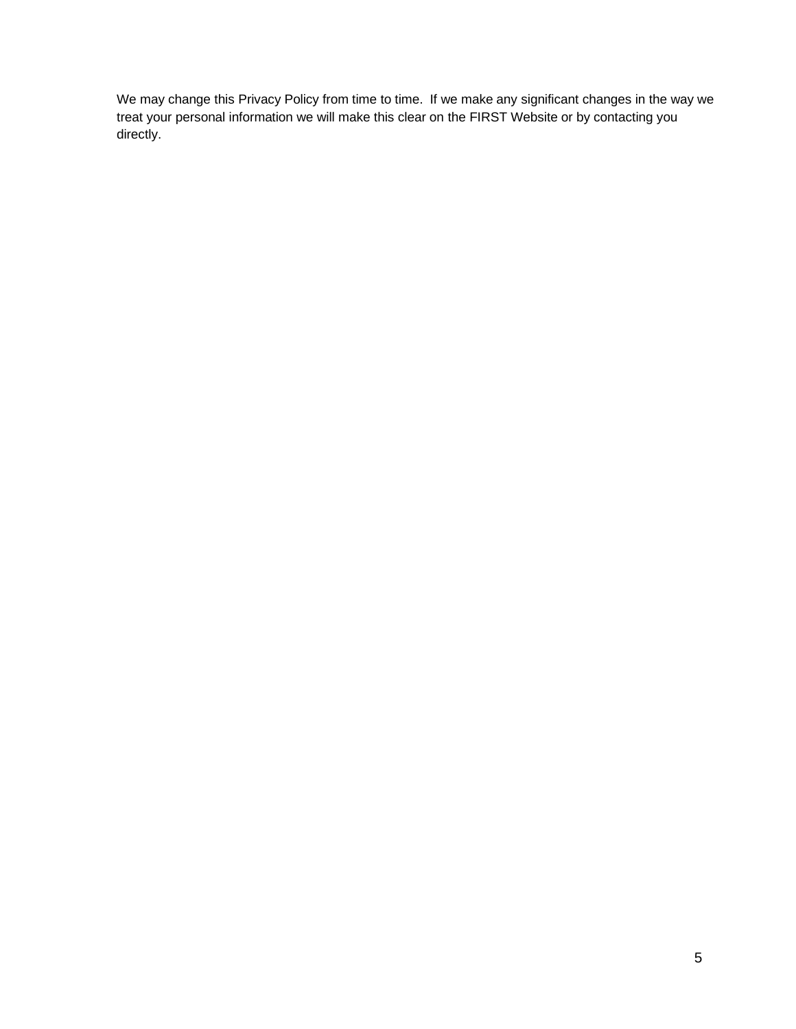We may change this Privacy Policy from time to time. If we make any significant changes in the way we treat your personal information we will make this clear on the FIRST Website or by contacting you directly.